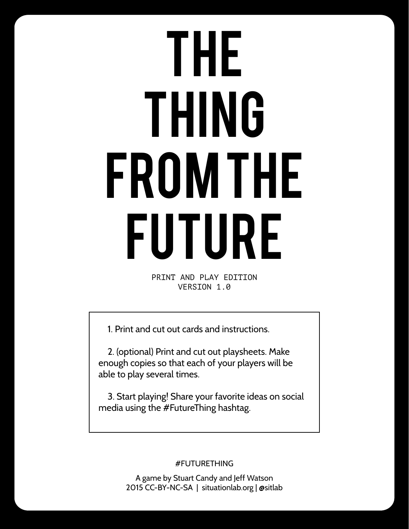## THE THING FROM THE FUTURE

PRINT AND PLAY EDITION VERSION 1.0

1. Print and cut out cards and instructions.

2. (optional) Print and cut out playsheets. Make enough copies so that each of your players will be able to play several times.

3. Start playing! Share your favorite ideas on social media using the #FutureThing hashtag.

#FUTURETHING

A game by Stuart Candy and Jeff Watson 2015 CC-BY-NC-SA | situationlab.org | @sitlab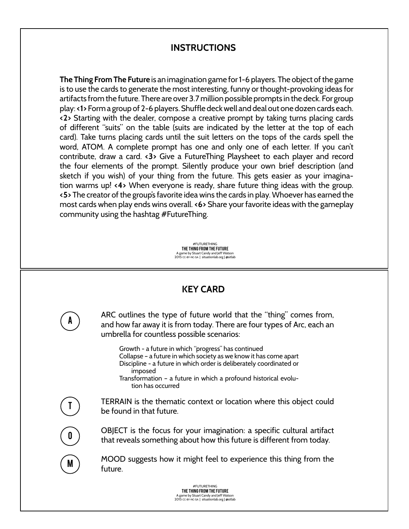## **INSTRUCTIONS**

**The Thing From The Future** is an imagination game for 1-6 players. The object of the game is to use the cards to generate the most interesting, funny or thought-provoking ideas for artifacts from the future. There are over 3.7 million possible prompts in the deck. For group play: **<1>** Form a group of 2-6 players. Shuffle deck well and deal out one dozen cards each. **<2>** Starting with the dealer, compose a creative prompt by taking turns placing cards of different "suits" on the table (suits are indicated by the letter at the top of each card). Take turns placing cards until the suit letters on the tops of the cards spell the word, ATOM. A complete prompt has one and only one of each letter. If you can't contribute, draw a card. **<3>** Give a FutureThing Playsheet to each player and record the four elements of the prompt. Silently produce your own brief description (and sketch if you wish) of your thing from the future. This gets easier as your imagination warms up! **<4>** When everyone is ready, share future thing ideas with the group. **<5>** The creator of the group's favorite idea wins the cards in play. Whoever has earned the most cards when play ends wins overall. **<6>** Share your favorite ideas with the gameplay community using the hashtag #FutureThing.

> #FUTURETHING THE THING FROM THE FUTURE A game by Stuart Candy and Jeff Watson 2015 CC-BY-NC-SA | situationlab.org | @sitlab

## **KEY CARD**

A

T

O

M

ARC outlines the type of future world that the "thing" comes from, and how far away it is from today. There are four types of Arc, each an umbrella for countless possible scenarios:

Growth - a future in which "progress" has continued Collapse – a future in which society as we know it has come apart Discipline - a future in which order is deliberately coordinated or imposed

Transformation – a future in which a profound historical evolution has occurred

TERRAIN is the thematic context or location where this object could be found in that future.

OBJECT is the focus for your imagination: a specific cultural artifact that reveals something about how this future is different from today.

MOOD suggests how it might feel to experience this thing from the future.

> #FUTURETHING THE THING FROM THE FUTURE A game by Stuart Candy and Jeff Watson 2015 CC-BY-NC-SA | situationlab.org | @sitlab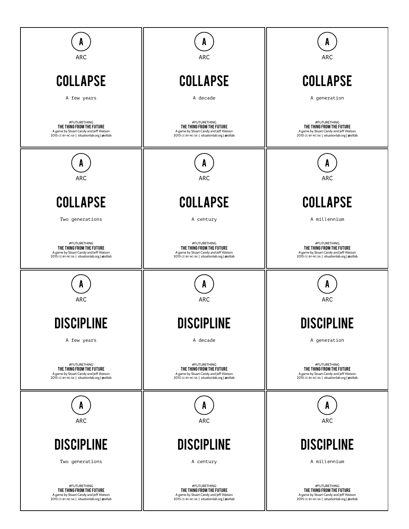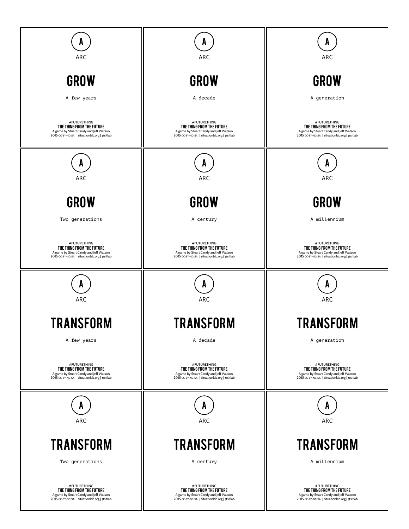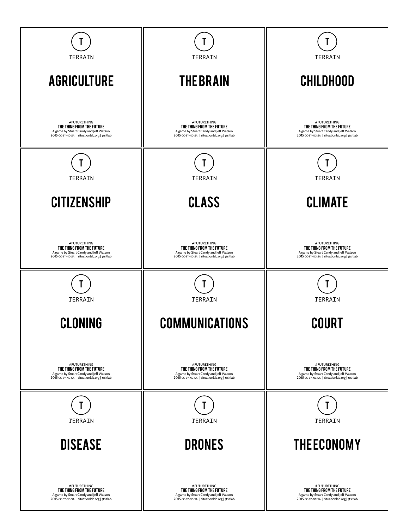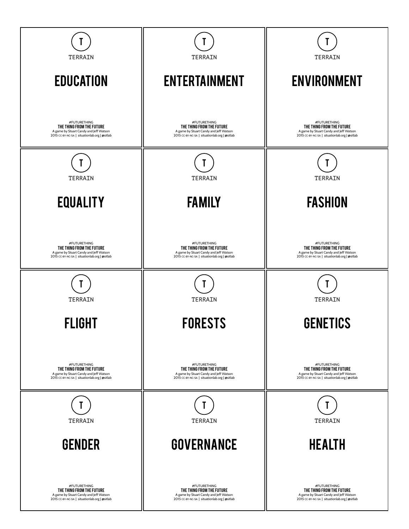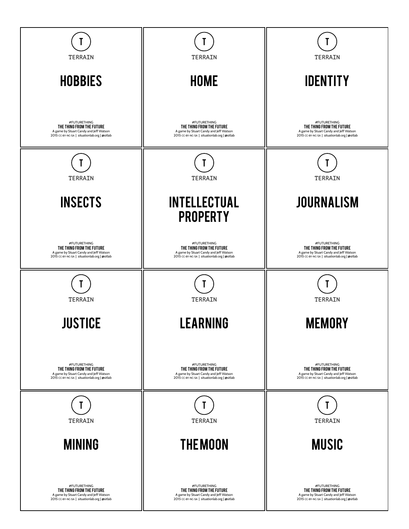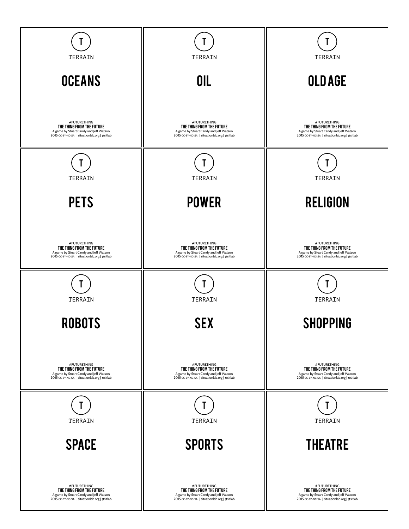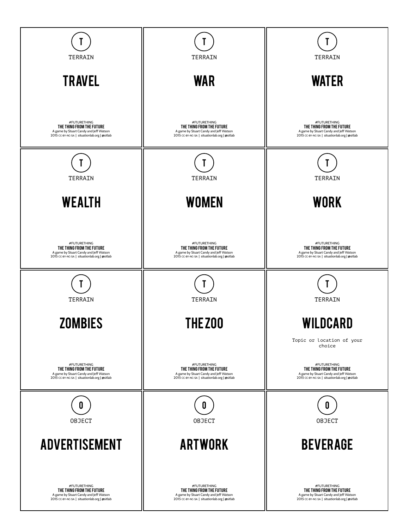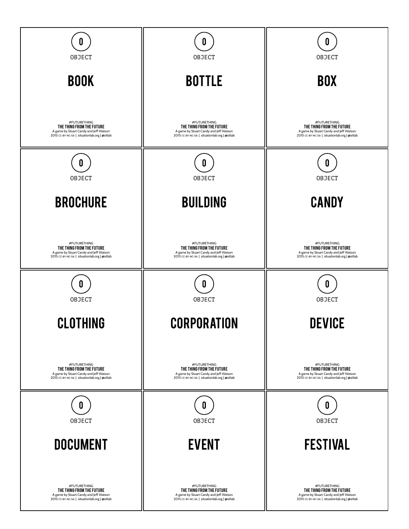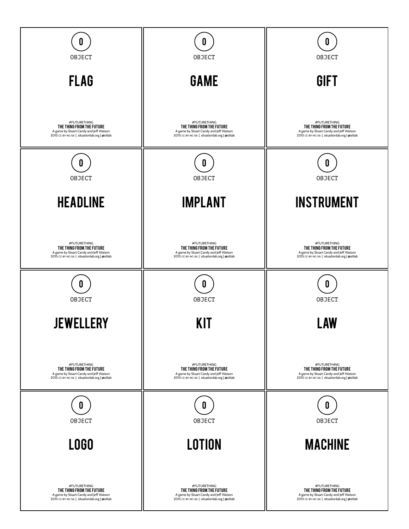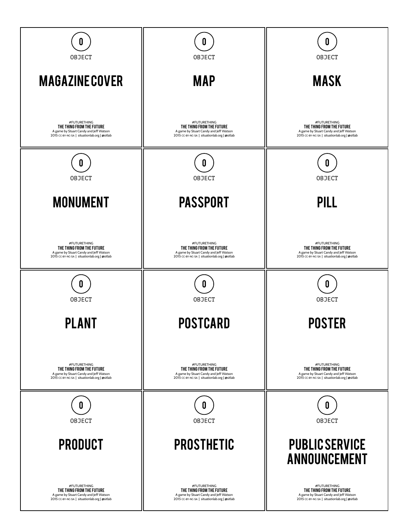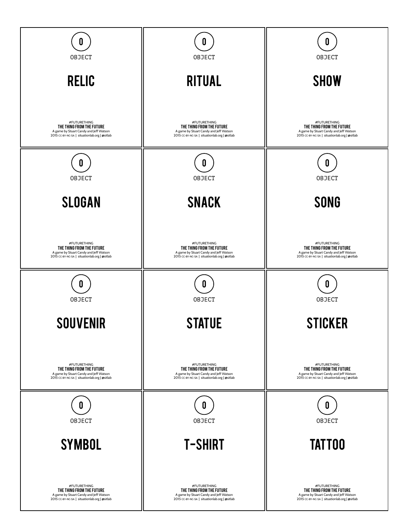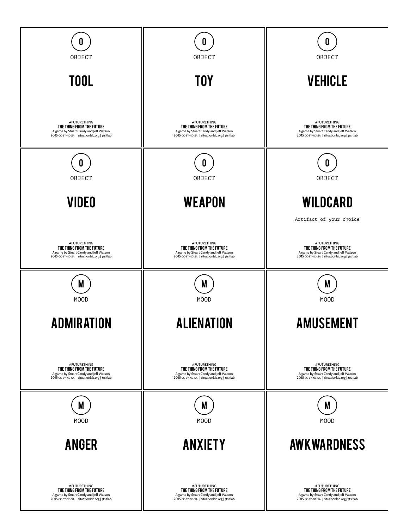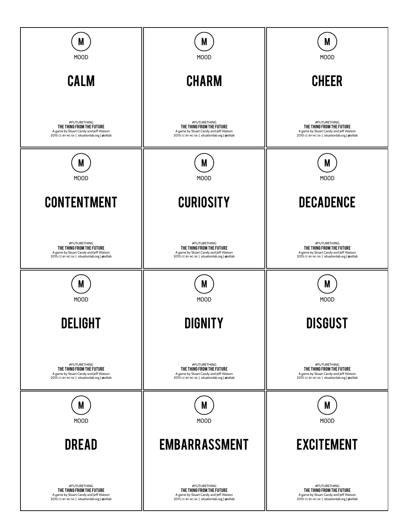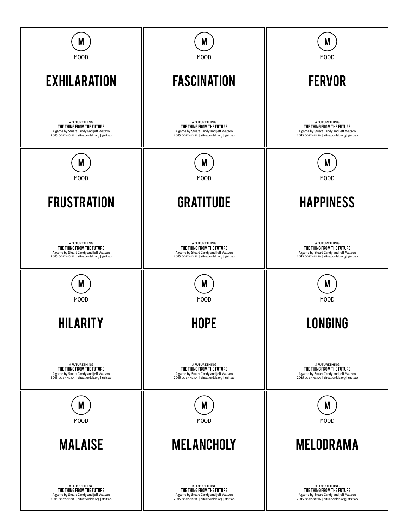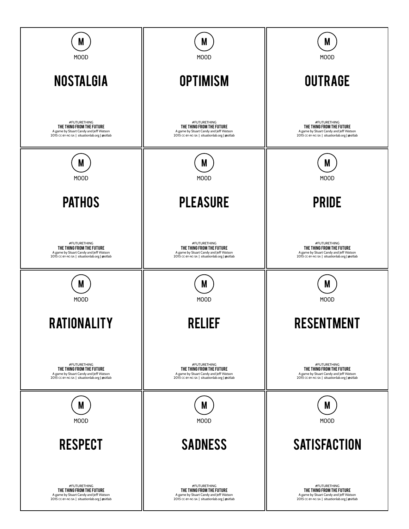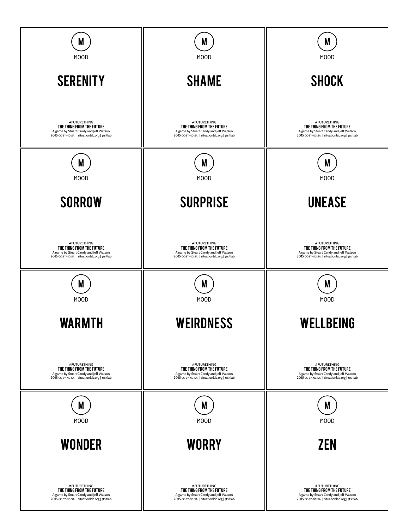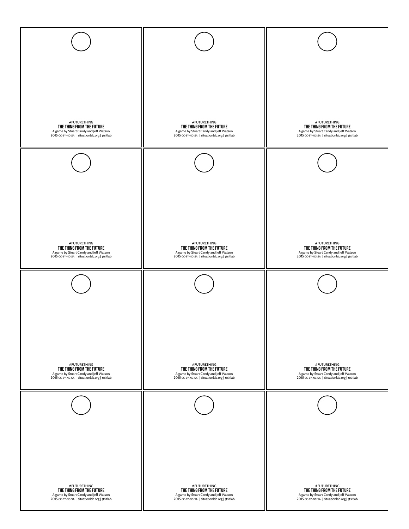